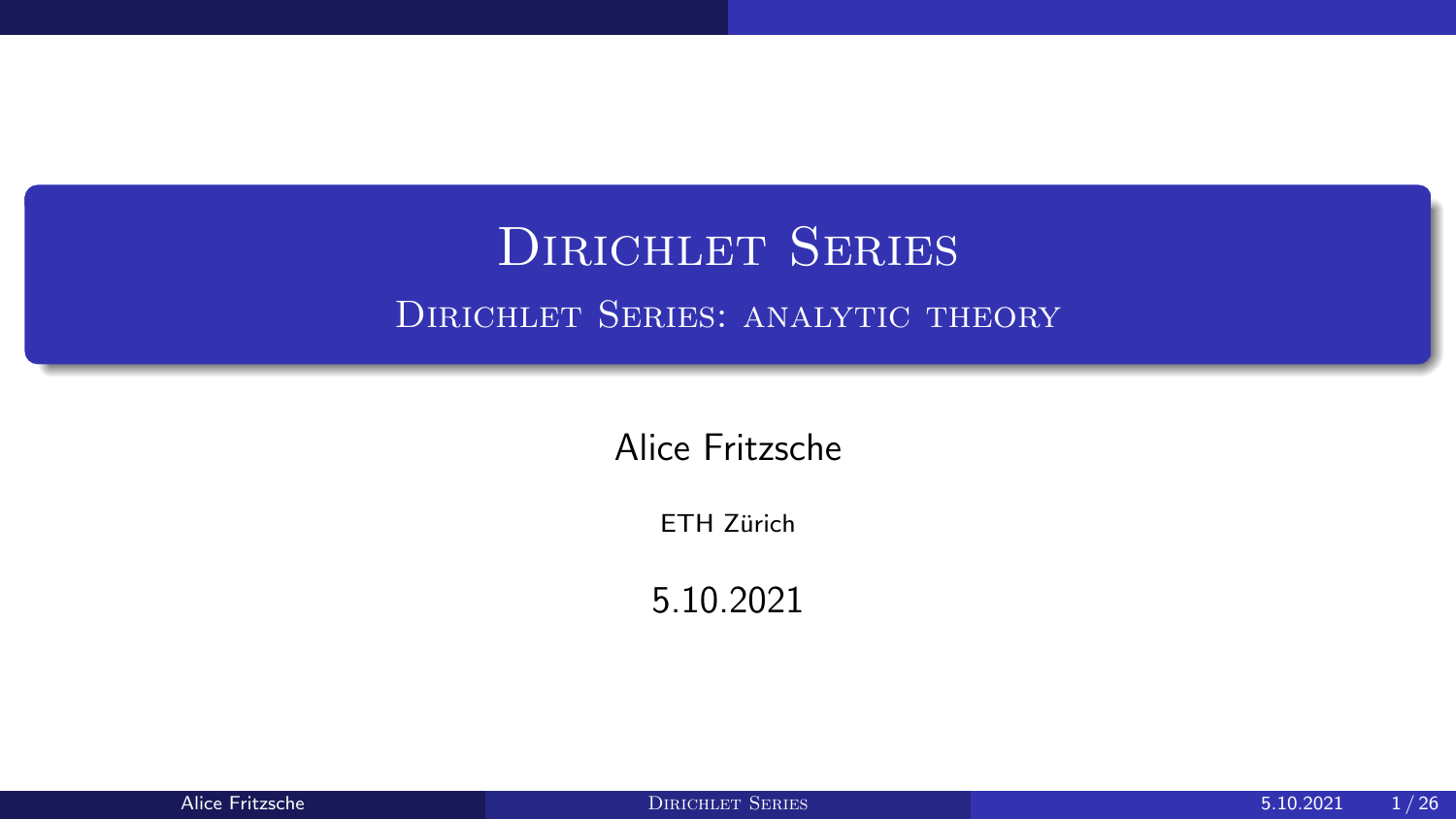## <span id="page-0-0"></span>DIRICHLET SERIES Dirichlet Series: analytic theory

Alice Fritzsche

ETH Zürich

5.10.2021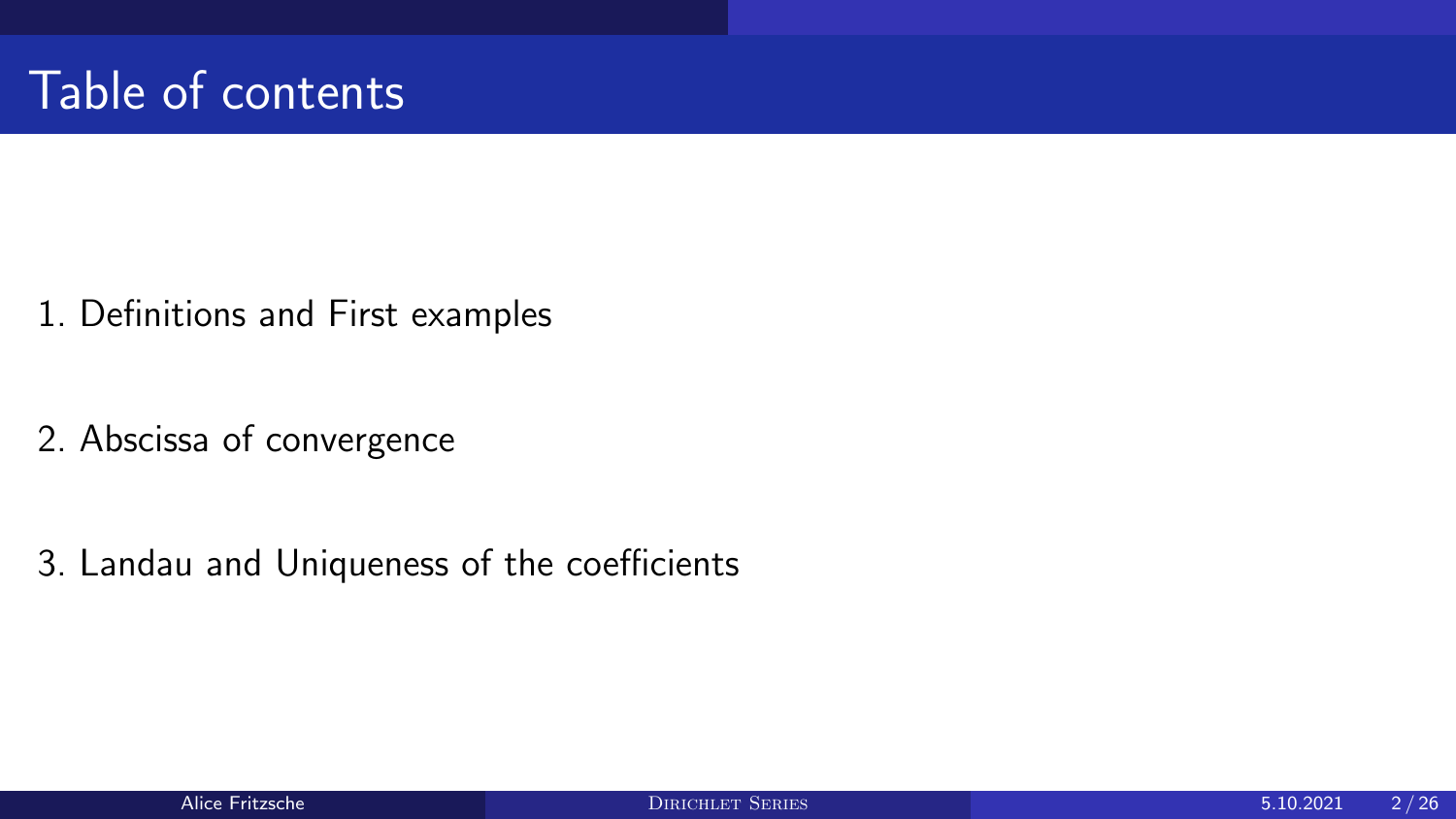- 1. [Definitions and First examples](#page-2-0)
- 2. [Abscissa of convergence](#page-7-0)

3. [Landau and Uniqueness of the coefficients](#page-19-0)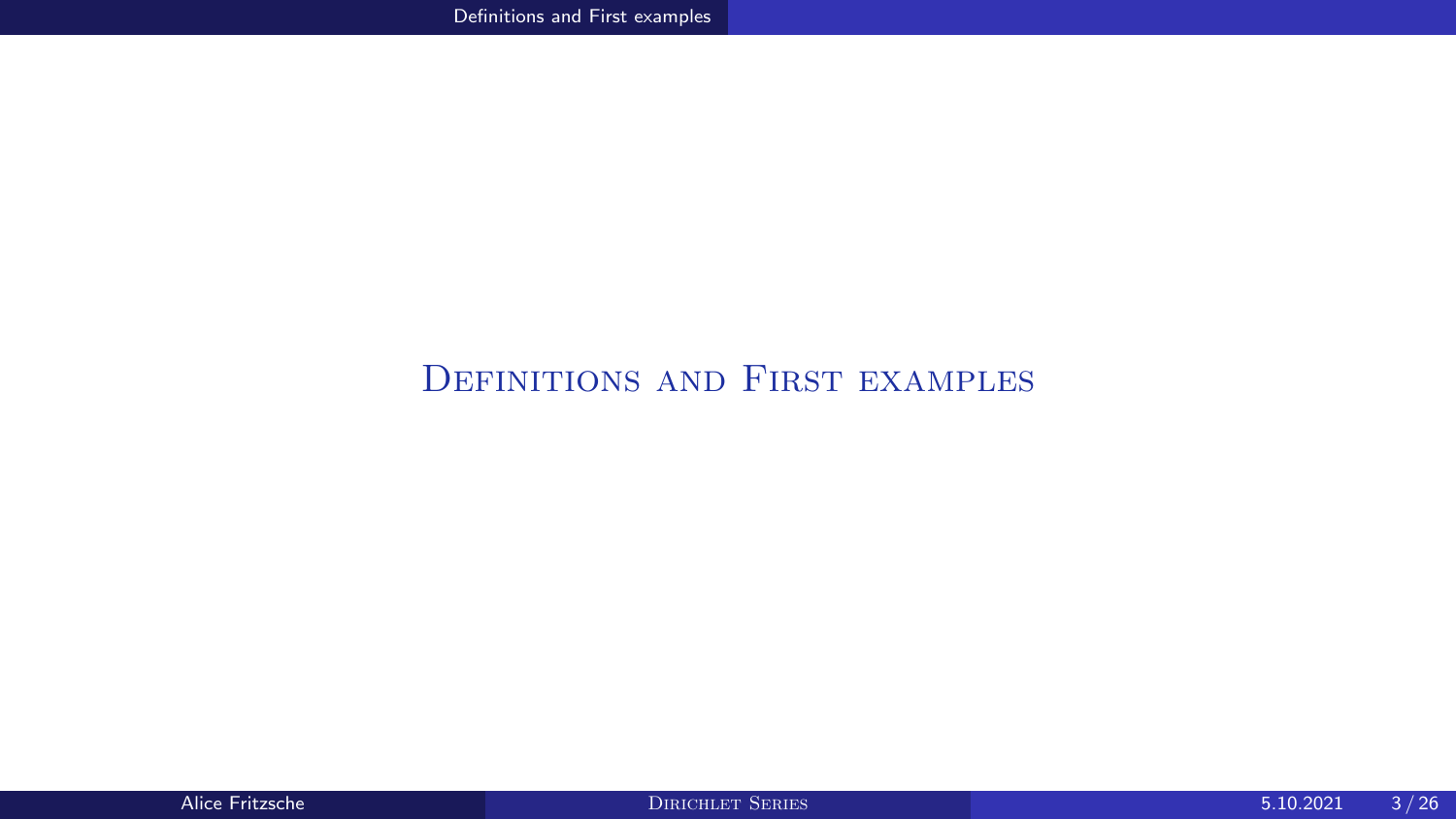### <span id="page-2-0"></span>[Definitions and First examples](#page-2-0)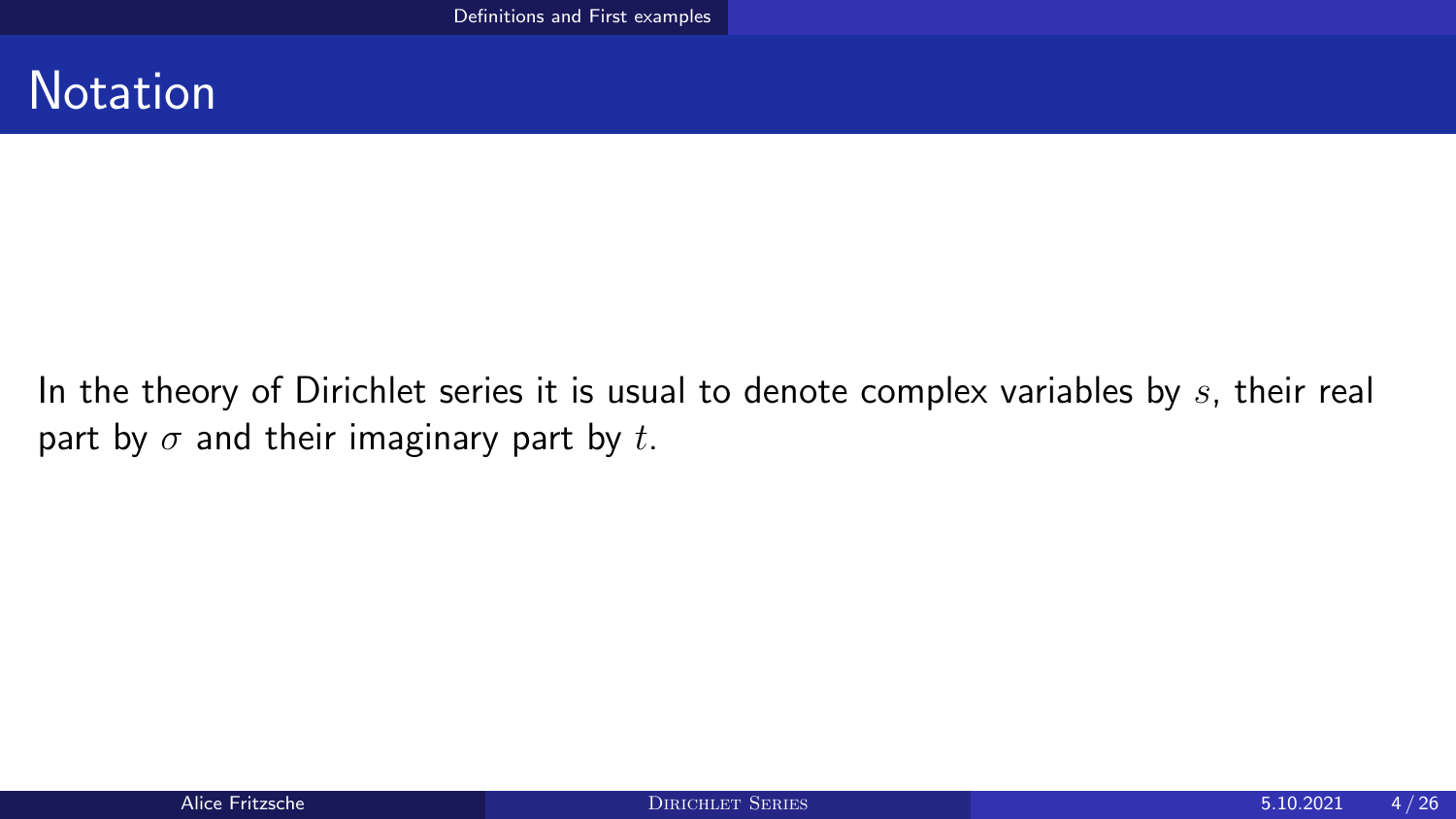### **Notation**

In the theory of Dirichlet series it is usual to denote complex variables by  $s$ , their real part by  $\sigma$  and their imaginary part by t.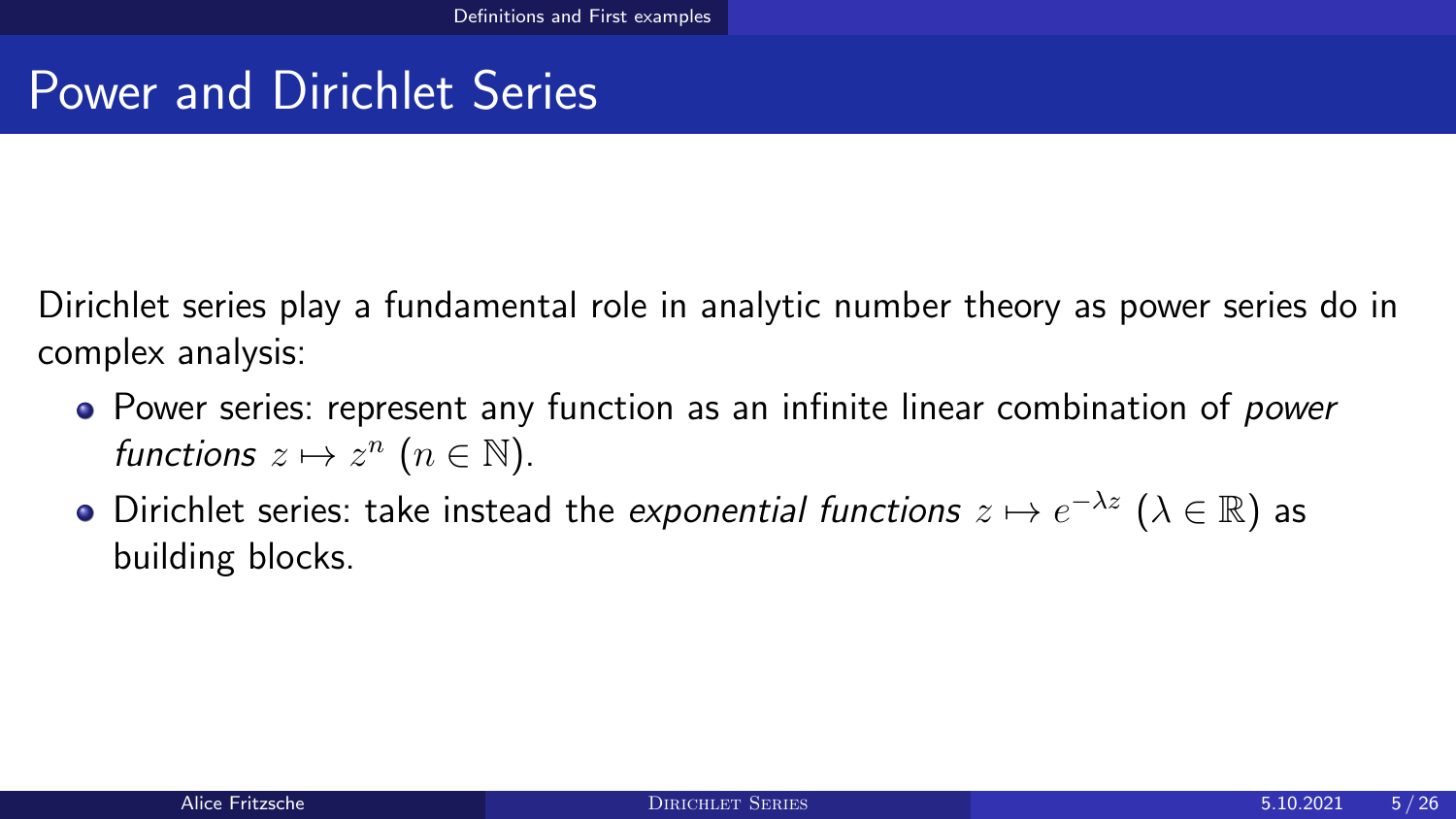## Power and Dirichlet Series

Dirichlet series play a fundamental role in analytic number theory as power series do in complex analysis:

- Power series: represent any function as an infinite linear combination of *power* functions  $z \mapsto z^n$   $(n \in \mathbb{N})$ .
- Dirichlet series: take instead the exponential functions  $z \mapsto e^{-\lambda z}$   $(\lambda \in \mathbb{R})$  as building blocks.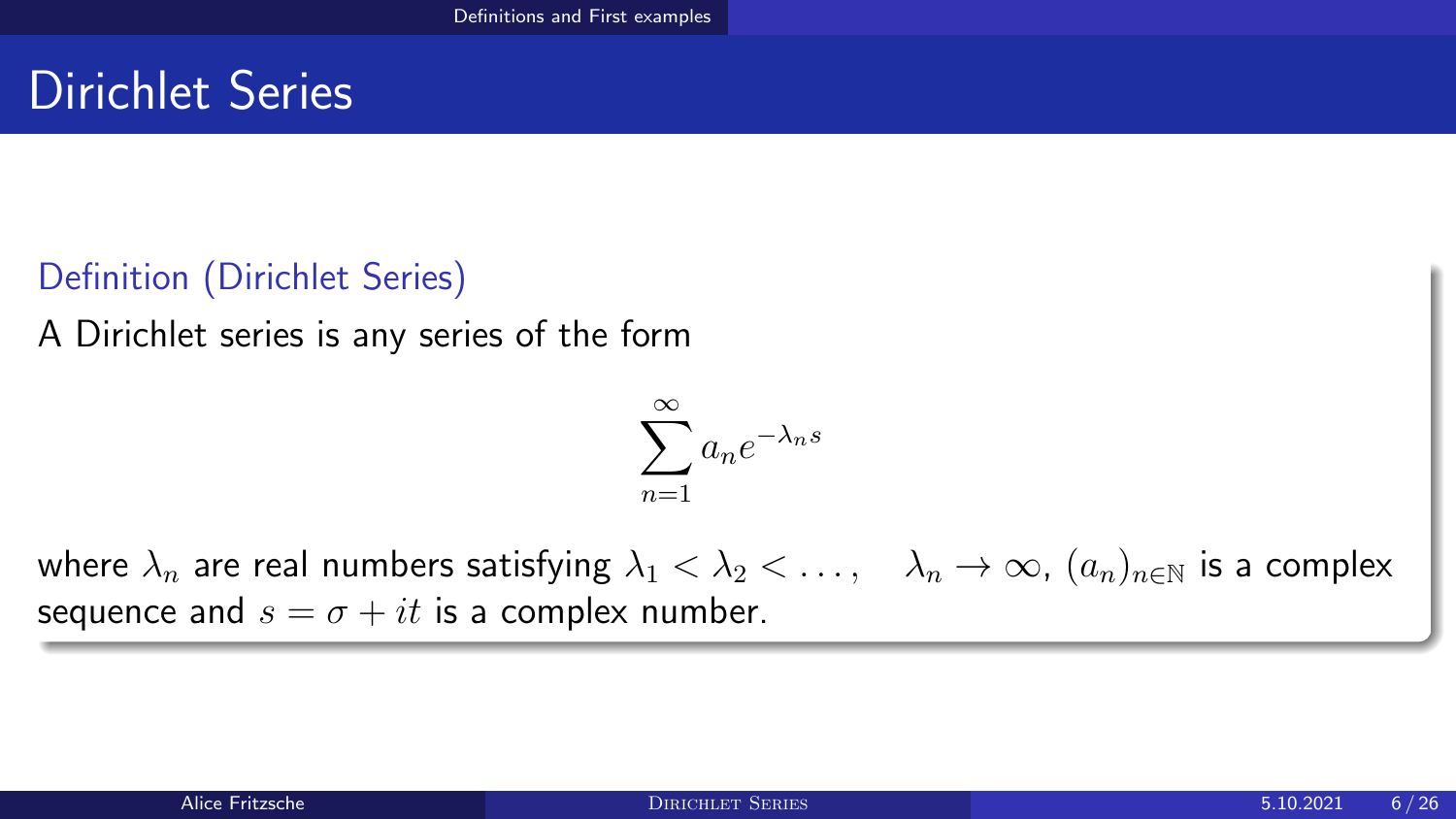## Dirichlet Series

### Definition (Dirichlet Series)

A Dirichlet series is any series of the form

$$
\sum_{n=1}^{\infty} a_n e^{-\lambda_n s}
$$

where  $\lambda_n$  are real numbers satisfying  $\lambda_1 < \lambda_2 < \ldots$ ,  $\lambda_n \to \infty$ ,  $(a_n)_{n \in \mathbb{N}}$  is a complex sequence and  $s = \sigma + it$  is a complex number.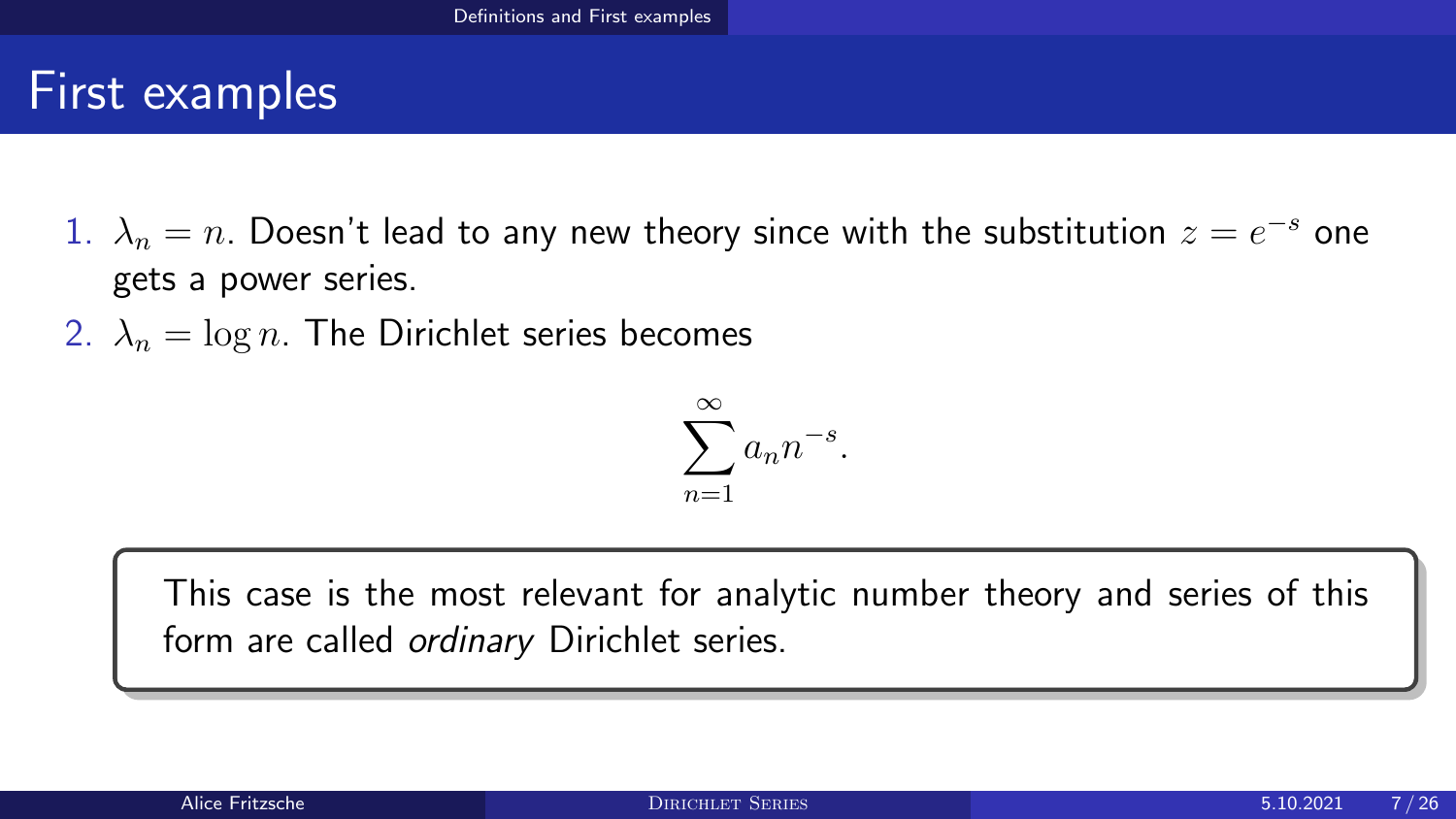## First examples

- 1.  $\lambda_n = n$ . Doesn't lead to any new theory since with the substitution  $z = e^{-s}$  one gets a power series.
- 2.  $\lambda_n = \log n$ . The Dirichlet series becomes

$$
\sum_{n=1}^{\infty} a_n n^{-s}.
$$

This case is the most relevant for analytic number theory and series of this form are called *ordinary* Dirichlet series.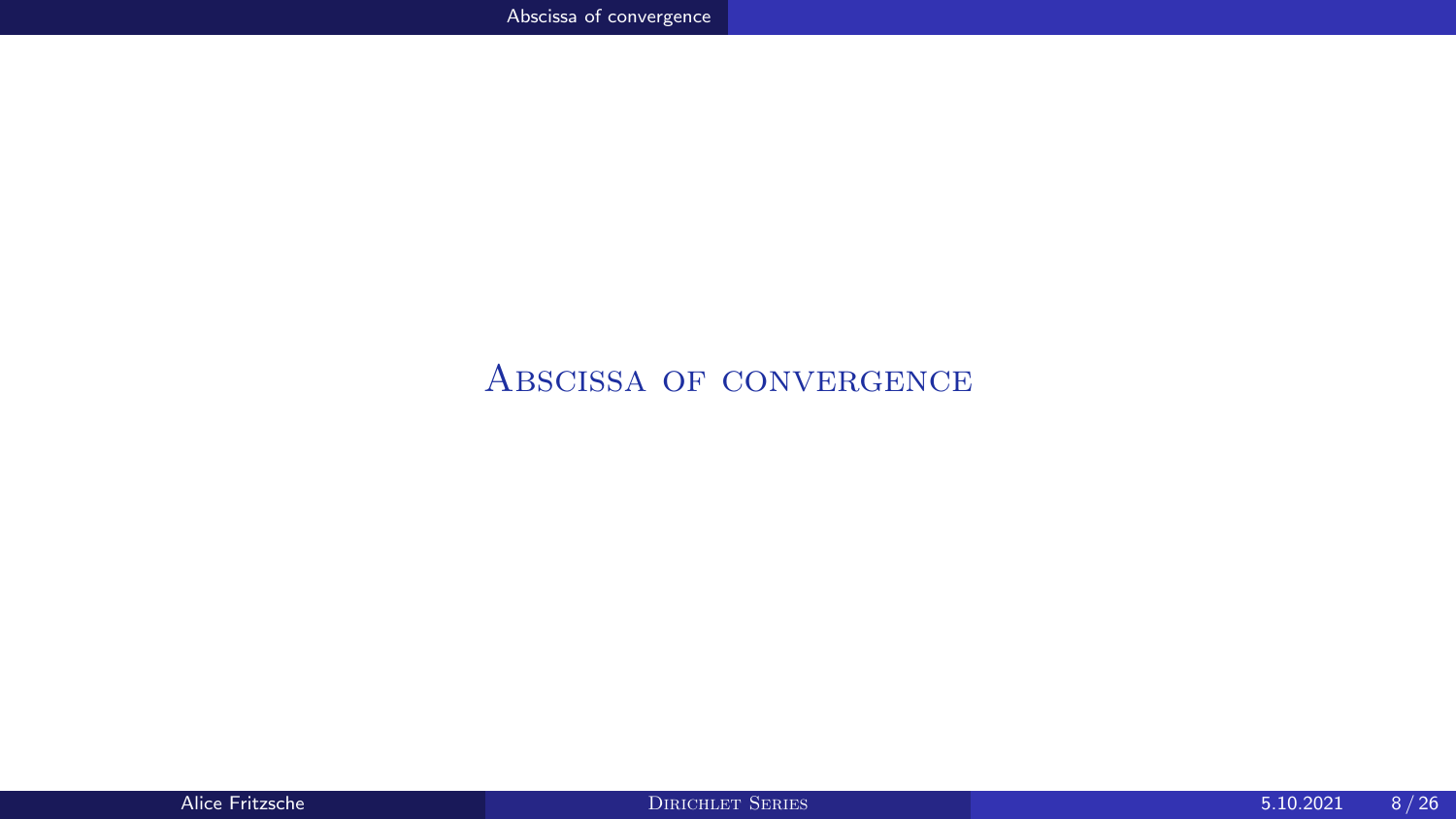### <span id="page-7-0"></span>[Abscissa of convergence](#page-7-0)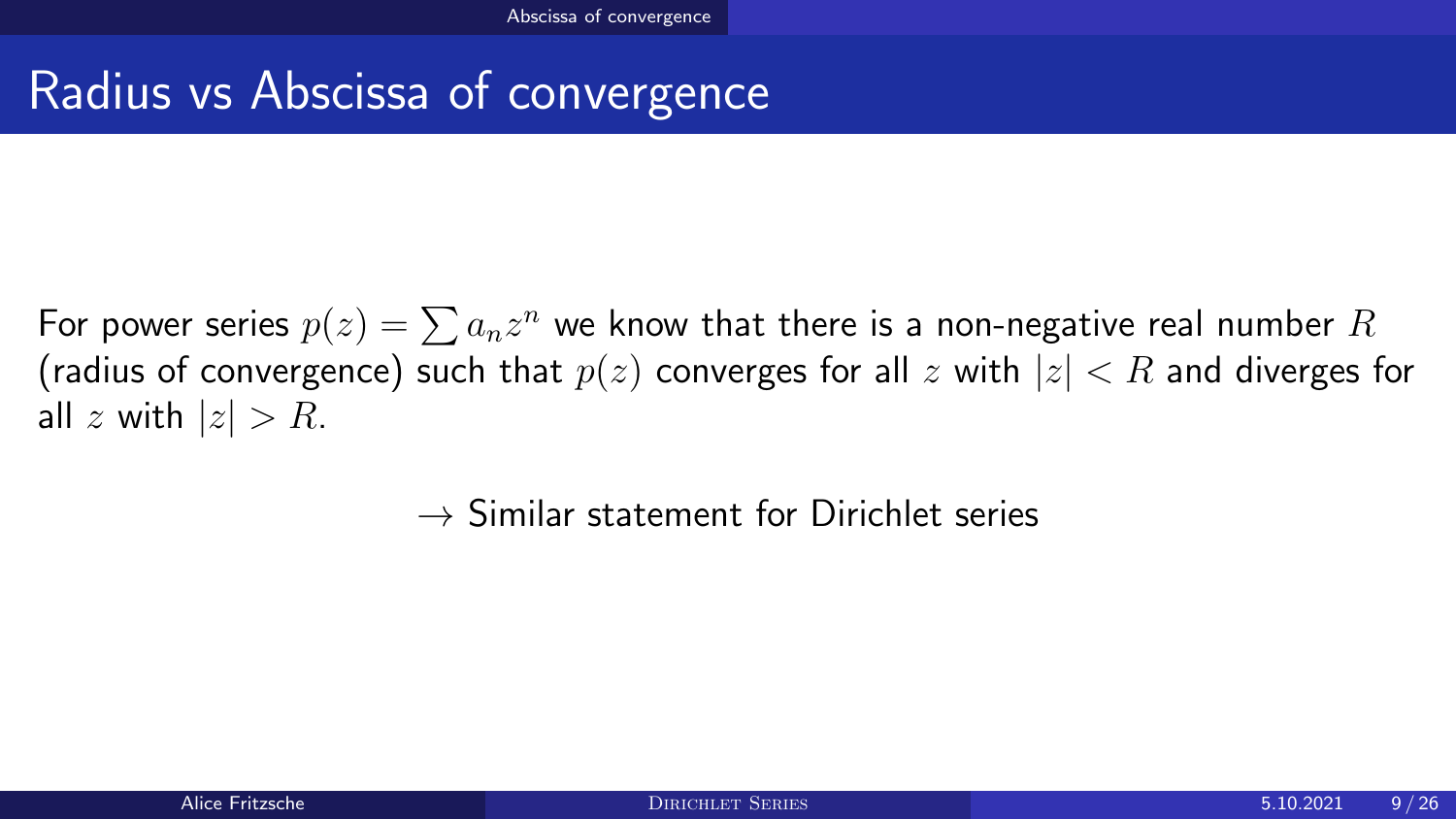## Radius vs Abscissa of convergence

For power series  $p(z)=\sum a_nz^n$  we know that there is a non-negative real number  $R$ (radius of convergence) such that  $p(z)$  converges for all z with  $|z| < R$  and diverges for all z with  $|z| > R$ .

 $\rightarrow$  Similar statement for Dirichlet series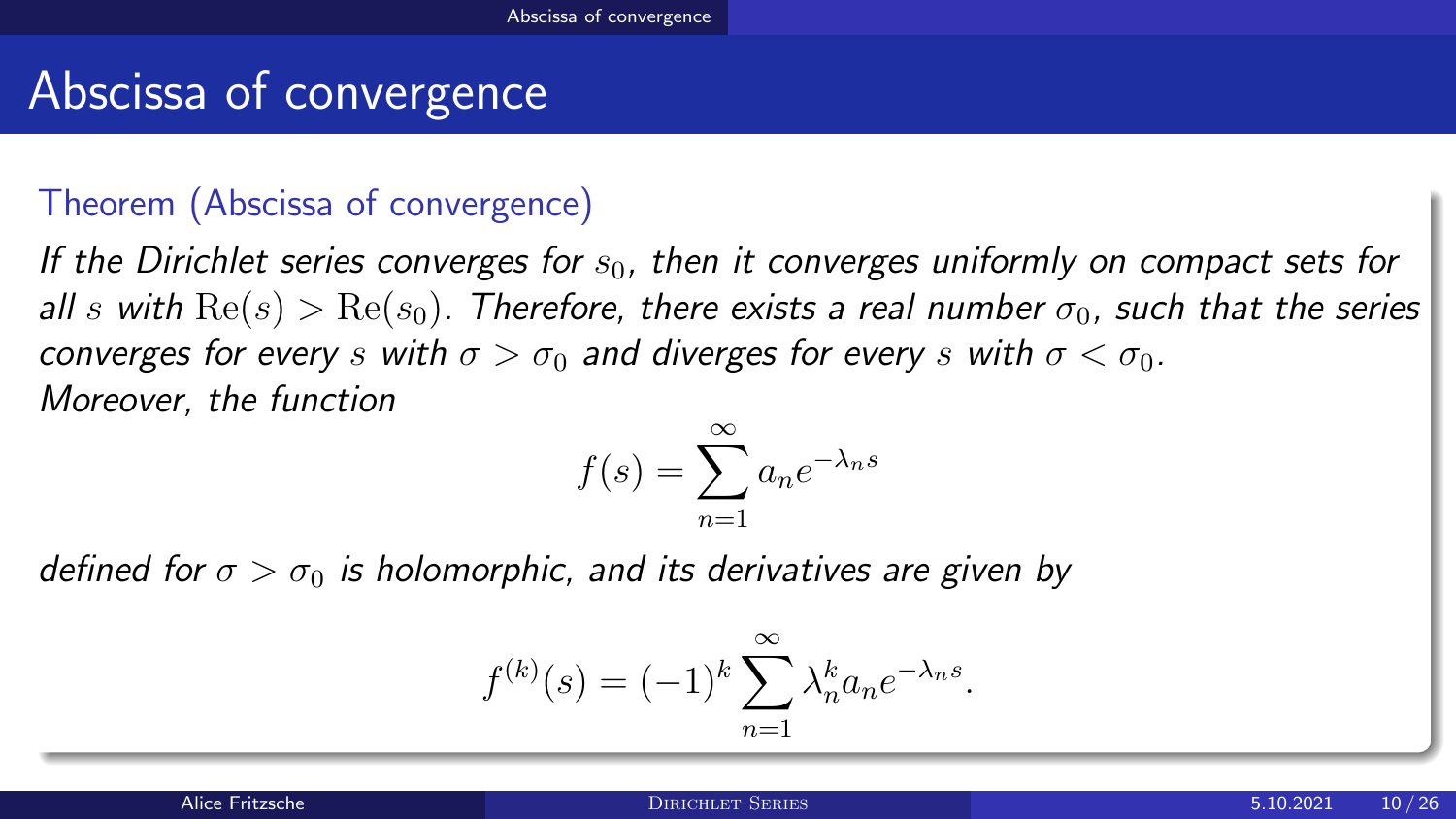## Abscissa of convergence

### Theorem (Abscissa of convergence)

If the Dirichlet series converges for  $s<sub>0</sub>$ , then it converges uniformly on compact sets for all s with  $\text{Re}(s) > \text{Re}(s_0)$ . Therefore, there exists a real number  $\sigma_0$ , such that the series converges for every s with  $\sigma > \sigma_0$  and diverges for every s with  $\sigma < \sigma_0$ . Moreover, the function

$$
f(s) = \sum_{n=1}^{\infty} a_n e^{-\lambda_n s}
$$

defined for  $\sigma > \sigma_0$  is holomorphic, and its derivatives are given by

$$
f^{(k)}(s) = (-1)^k \sum_{n=1}^{\infty} \lambda_n^k a_n e^{-\lambda_n s}.
$$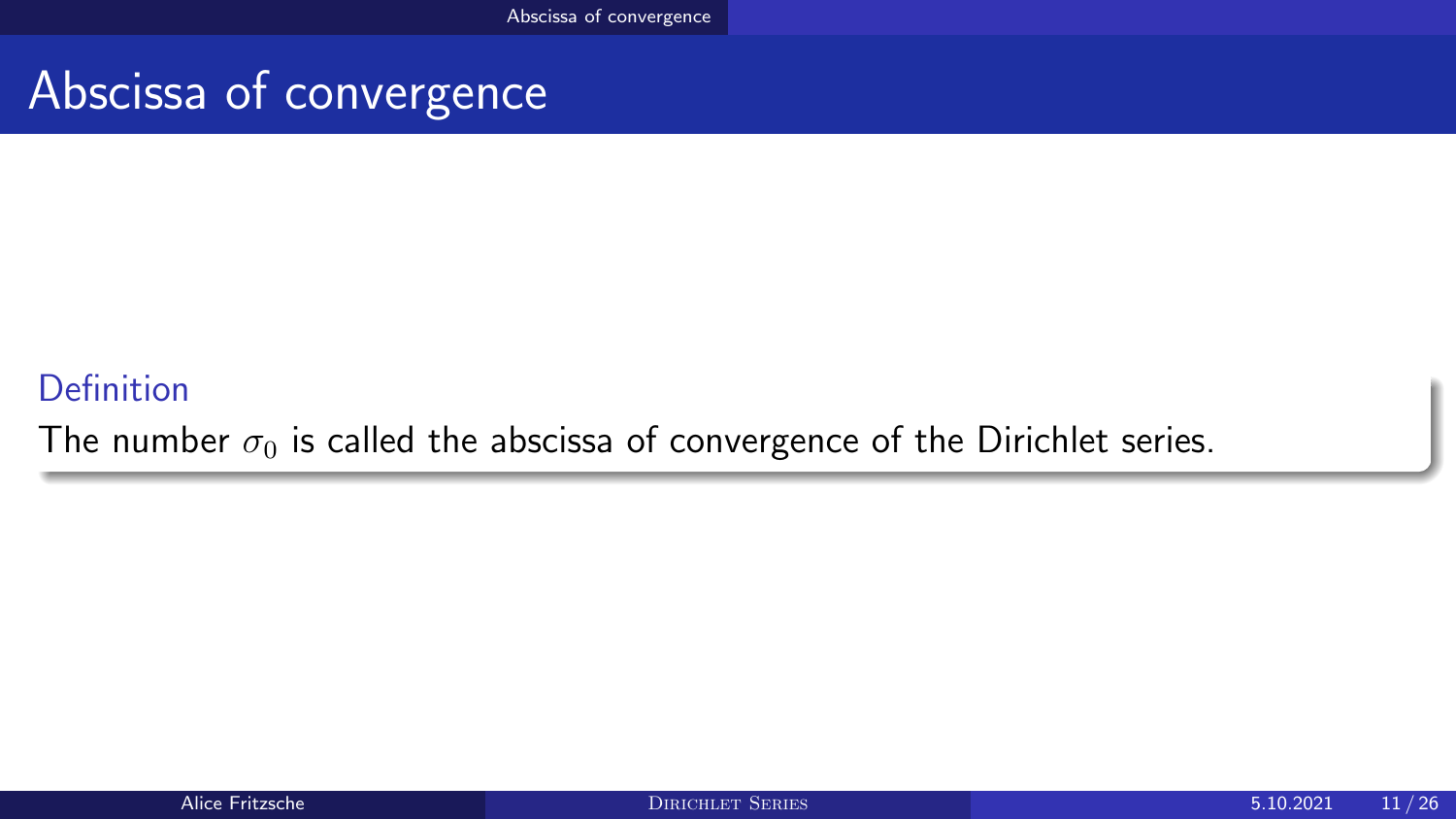## Abscissa of convergence

### Definition

The number  $\sigma_0$  is called the abscissa of convergence of the Dirichlet series.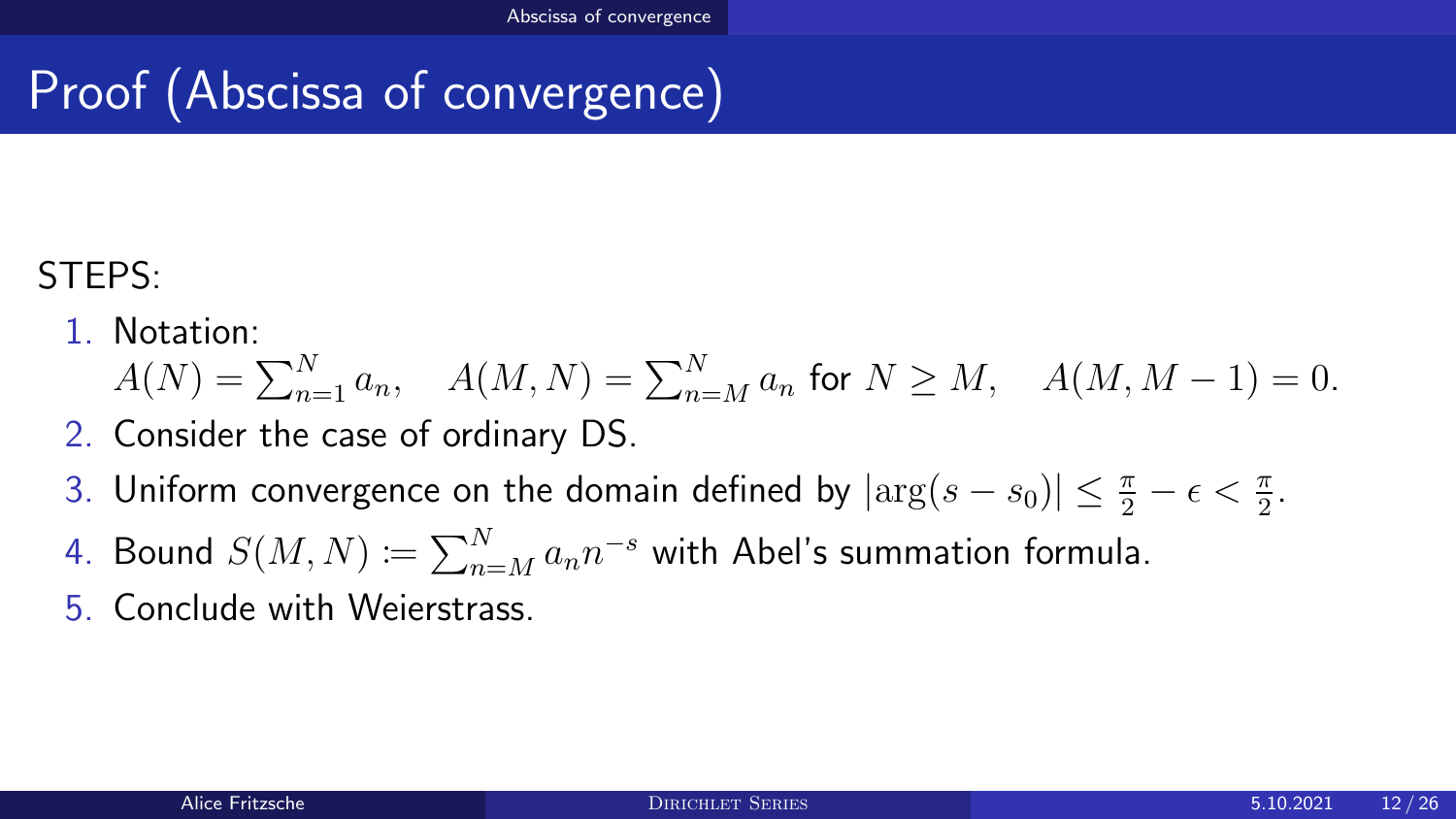# Proof (Abscissa of convergence)

### STEPS:

### 1. Notation:

$$
A(N) = \sum_{n=1}^{N} a_n, \quad A(M, N) = \sum_{n=M}^{N} a_n \text{ for } N \ge M, \quad A(M, M - 1) = 0.
$$

- 2. Consider the case of ordinary DS.
- 3. Uniform convergence on the domain defined by  $|\arg(s-s_0)| \leq \frac{\pi}{2} \epsilon < \frac{\pi}{2}$ .
- 4. Bound  $S(M,N)\coloneqq\sum_{n=M}^N a_nn^{-s}$  with Abel's summation formula.
- 5. Conclude with Weierstrass.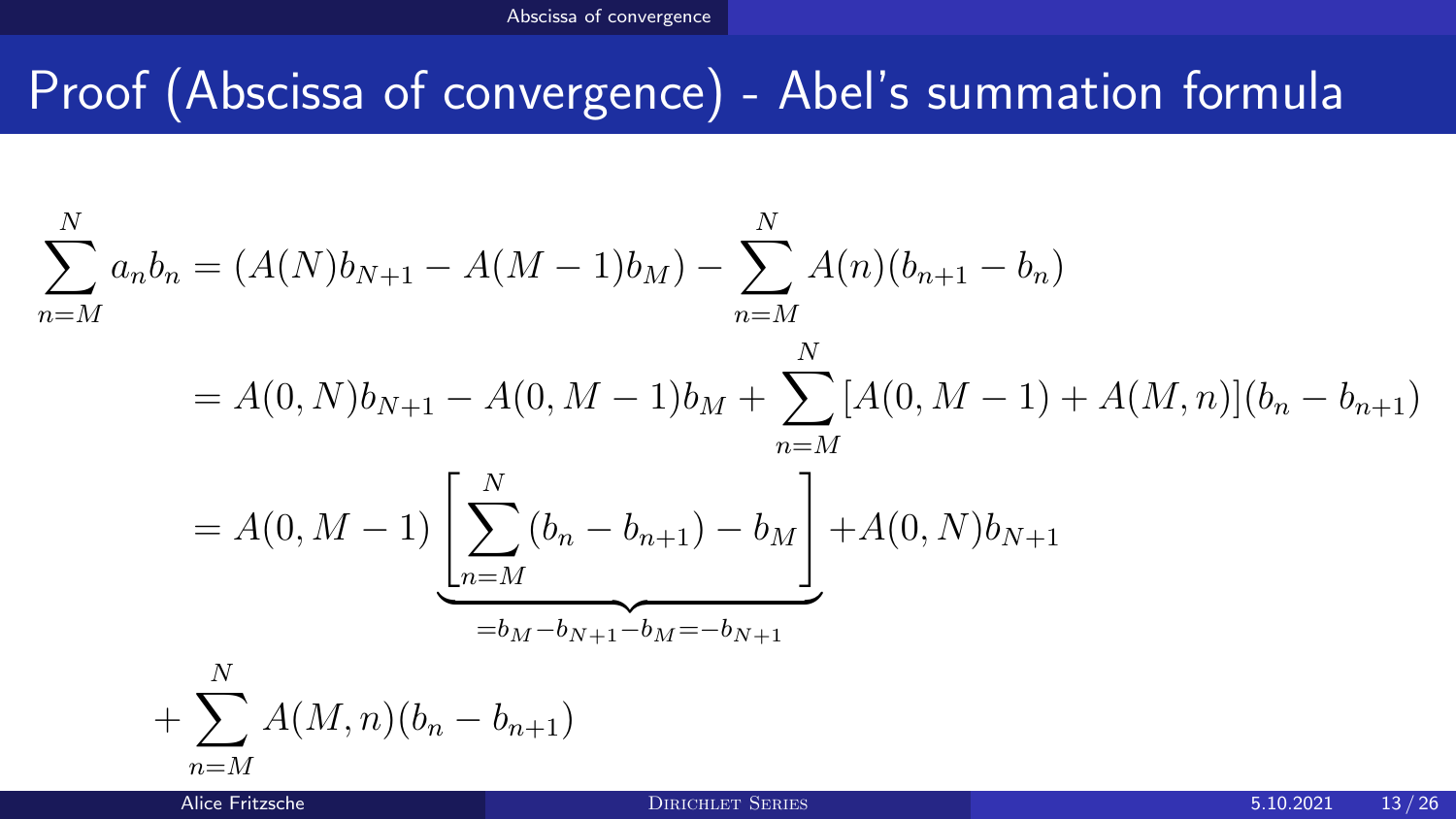## Proof (Abscissa of convergence) - Abel's summation formula

$$
\sum_{n=M}^{N} a_n b_n = (A(N)b_{N+1} - A(M-1)b_M) - \sum_{n=M}^{N} A(n)(b_{n+1} - b_n)
$$
  
=  $A(0, N)b_{N+1} - A(0, M-1)b_M + \sum_{n=M}^{N} [A(0, M-1) + A(M, n)](b_n - b_{n+1})$   
=  $A(0, M-1) \underbrace{\left[\sum_{n=M}^{N} (b_n - b_{n+1}) - b_M\right]}_{=b_M - b_{N+1} + b_M = -b_{N+1}} + \sum_{n=M}^{N} A(M, n)(b_n - b_{n+1})$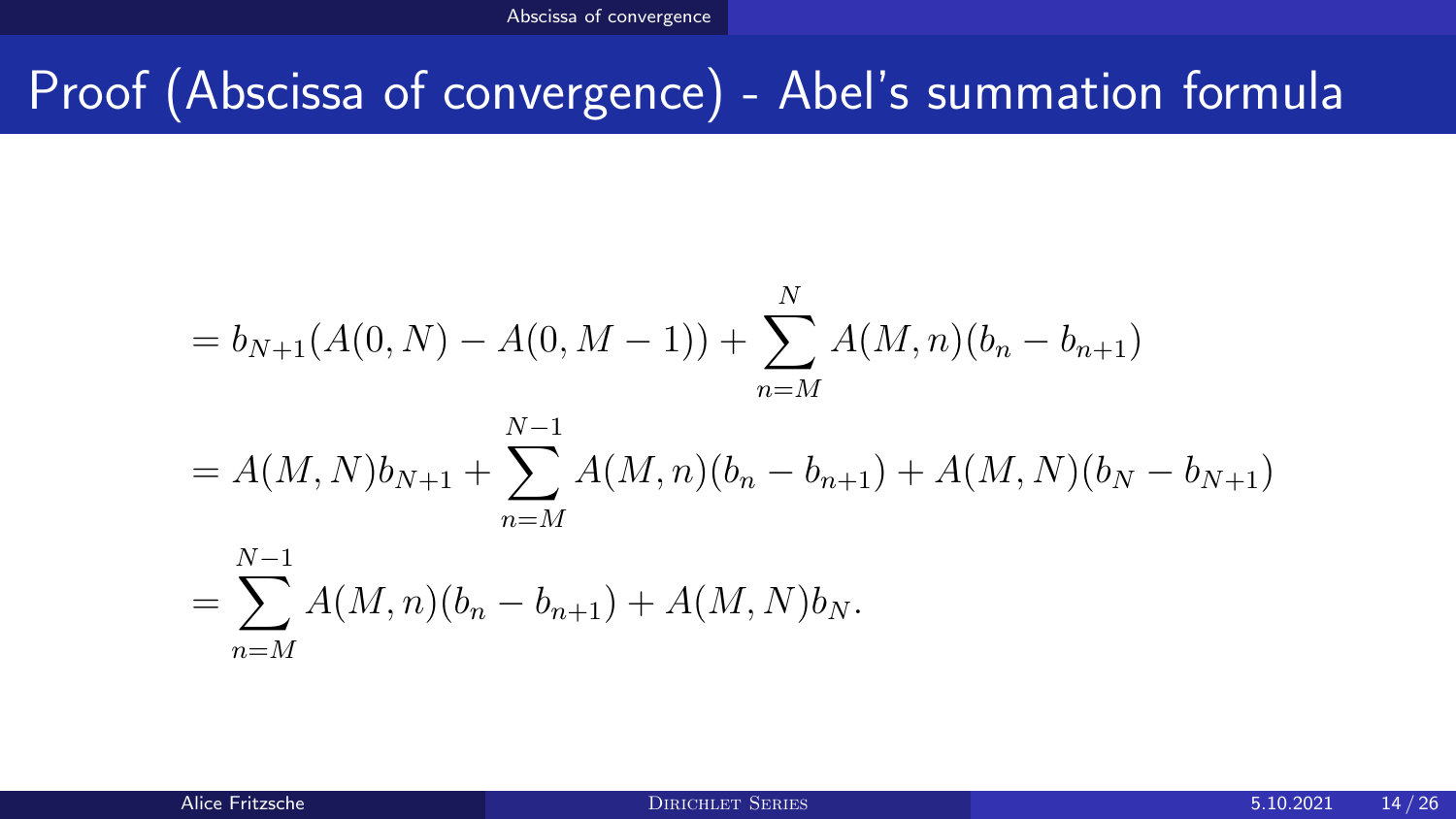## Proof (Abscissa of convergence) - Abel's summation formula

$$
= b_{N+1}(A(0, N) - A(0, M - 1)) + \sum_{n=M}^{N} A(M, n)(b_n - b_{n+1})
$$
  
=  $A(M, N)b_{N+1} + \sum_{n=M}^{N-1} A(M, n)(b_n - b_{n+1}) + A(M, N)(b_N - b_{N+1})$   
=  $\sum_{n=M}^{N-1} A(M, n)(b_n - b_{n+1}) + A(M, N)b_N.$ 

 $n=M$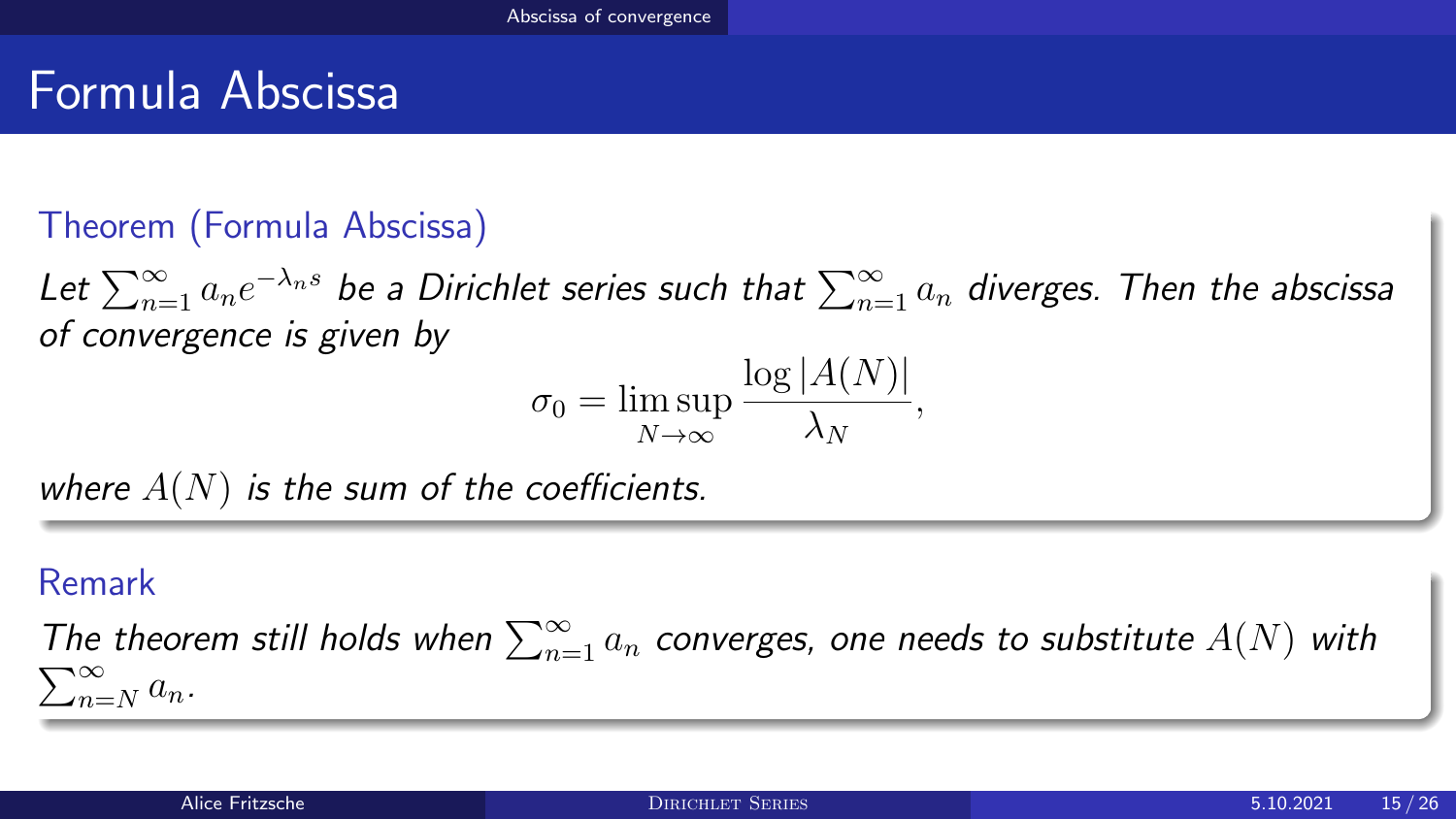## Formula Abscissa

### Theorem (Formula Abscissa)

Let  $\sum_{n=1}^\infty a_n e^{-\lambda_n s}$  be a Dirichlet series such that  $\sum_{n=1}^\infty a_n$  diverges. Then the abscissa of convergence is given by

$$
\sigma_0 = \limsup_{N \to \infty} \frac{\log |A(N)|}{\lambda_N},
$$

where  $A(N)$  is the sum of the coefficients.

#### Remark

The theorem still holds when  $\sum_{n=1}^{\infty} a_n$  converges, one needs to substitute  $A(N)$  with  $\sum_{n=1}^{\infty}$  $\sum_{n=N}^{\infty} a_n$ .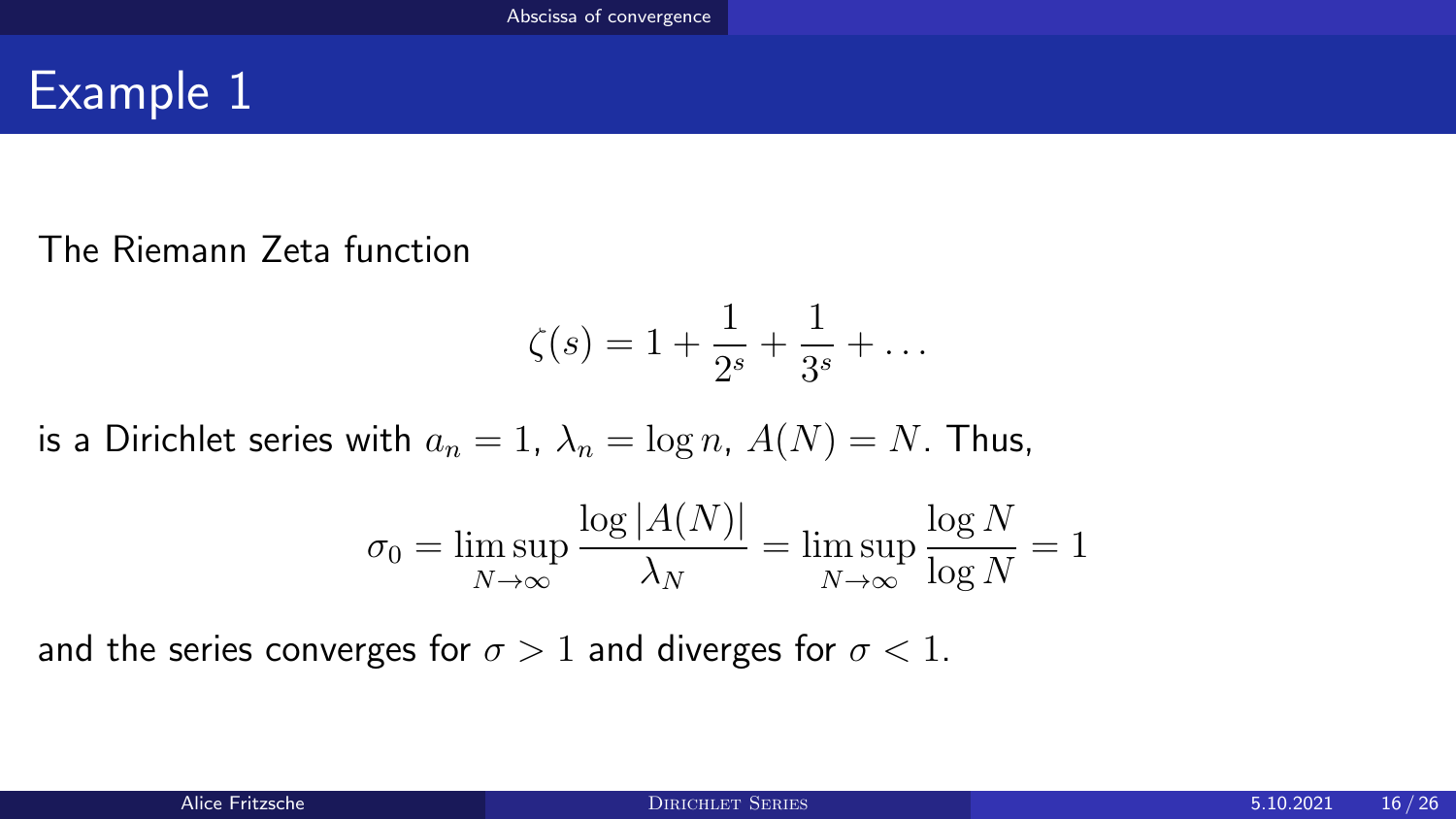## Example 1

#### The Riemann Zeta function

$$
\zeta(s) = 1 + \frac{1}{2^s} + \frac{1}{3^s} + \dots
$$

is a Dirichlet series with  $a_n = 1$ ,  $\lambda_n = \log n$ ,  $A(N) = N$ . Thus,

$$
\sigma_0 = \limsup_{N \to \infty} \frac{\log |A(N)|}{\lambda_N} = \limsup_{N \to \infty} \frac{\log N}{\log N} = 1
$$

and the series converges for  $\sigma > 1$  and diverges for  $\sigma < 1$ .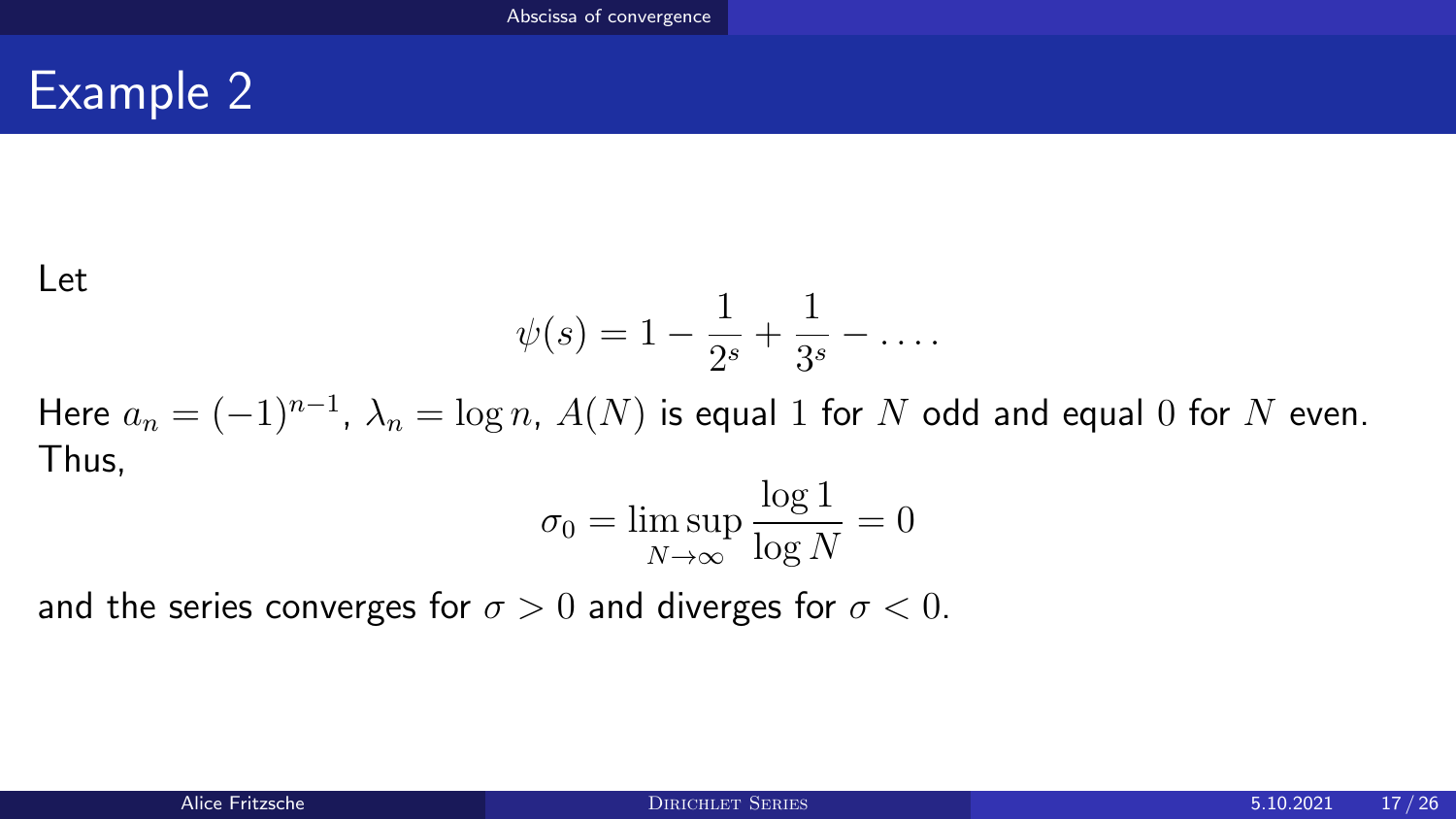## Example 2

#### Let

$$
\psi(s) = 1 - \frac{1}{2^s} + \frac{1}{3^s} - \dots
$$

Here  $a_n = (-1)^{n-1}$ ,  $\lambda_n = \log n$ ,  $A(N)$  is equal  $1$  for  $N$  odd and equal  $0$  for  $N$  even. Thus, log 1

$$
\sigma_0 = \limsup_{N \to \infty} \frac{\log 1}{\log N} = 0
$$

and the series converges for  $\sigma > 0$  and diverges for  $\sigma < 0$ .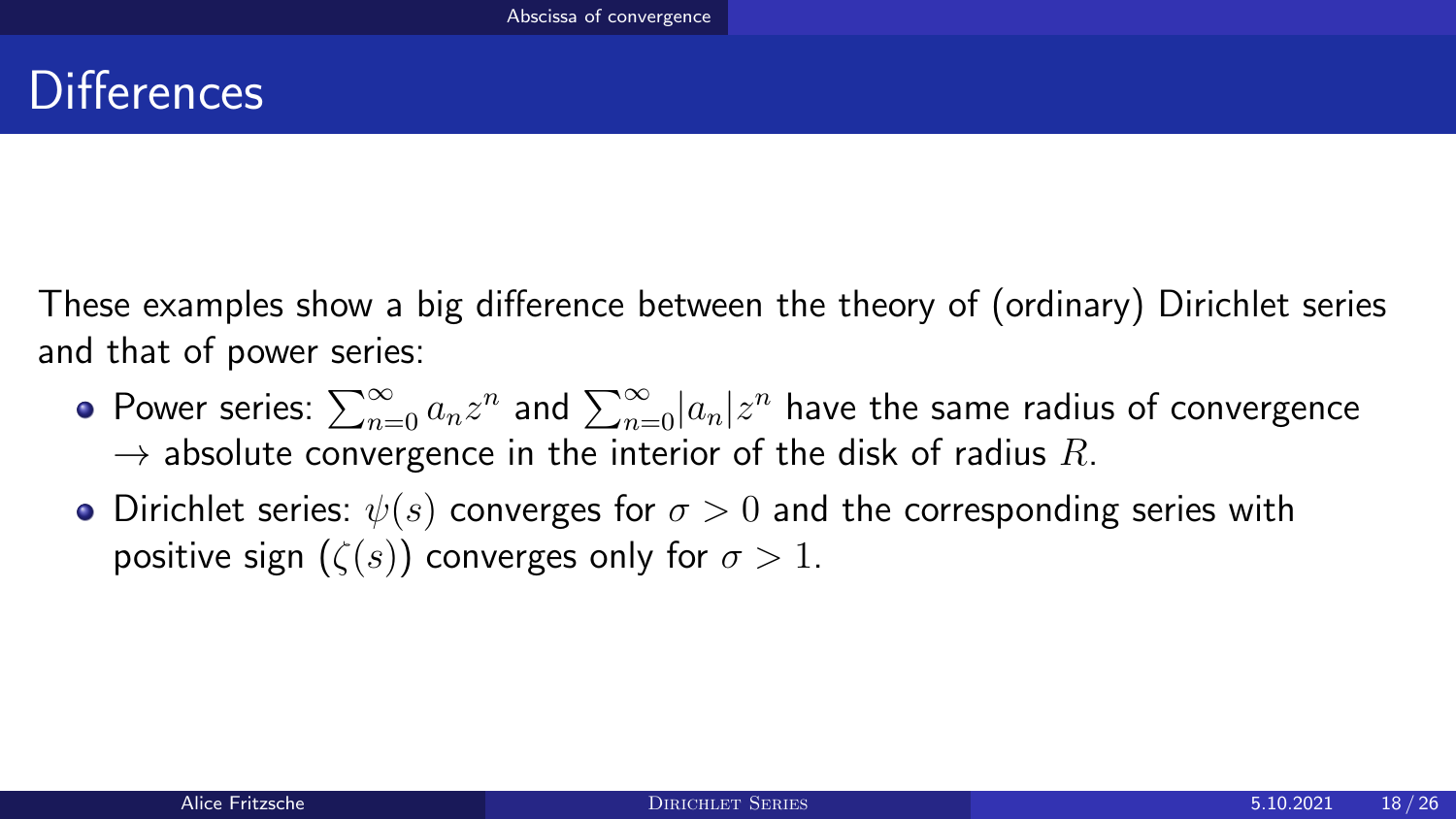## **Differences**

These examples show a big difference between the theory of (ordinary) Dirichlet series and that of power series:

- Power series:  $\sum_{n=0}^{\infty}a_{n}z^{n}$  and  $\sum_{n=0}^{\infty}|a_{n}|z^{n}$  have the same radius of convergence  $\rightarrow$  absolute convergence in the interior of the disk of radius R.
- Dirichlet series:  $\psi(s)$  converges for  $\sigma > 0$  and the corresponding series with positive sign  $(\zeta(s))$  converges only for  $\sigma > 1$ .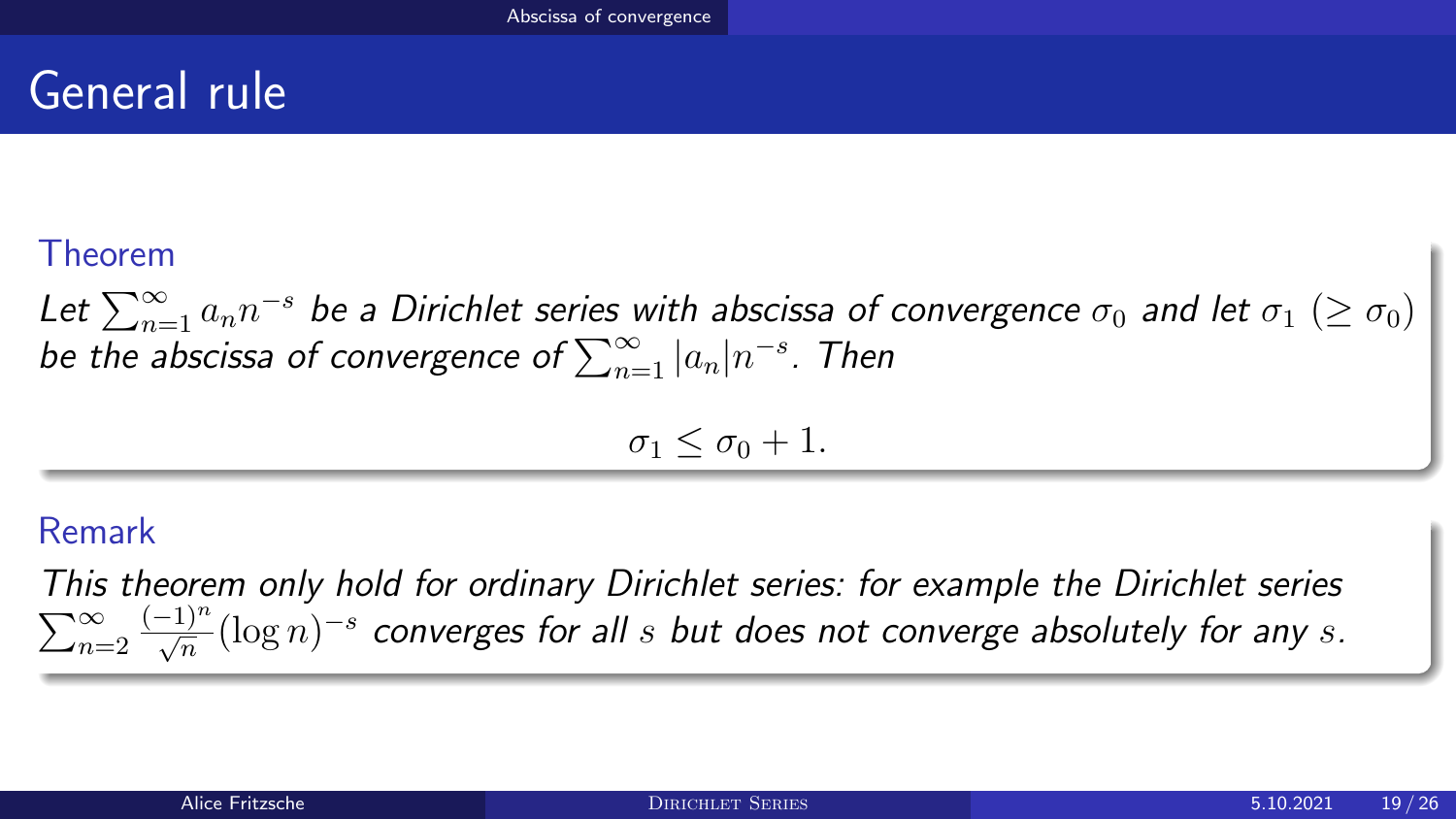## General rule

### Theorem

Let  $\sum_{n=1}^{\infty}a_n n^{-s}$  be a Dirichlet series with abscissa of convergence  $\sigma_0$  and let  $\sigma_1$   $(\geq \sigma_0)$ be the abscissa of convergence of  $\sum_{n=1}^{\infty} |a_n| n^{-s}$ . Then

$$
\sigma_1 \leq \sigma_0 + 1.
$$

### Remark

This theorem only hold for ordinary Dirichlet series: for example the Dirichlet series  $\sum_{n=2}^{\infty}$  $\frac{(-1)^n}{\sqrt{n}}(\log n)^{-s}$  converges for all  $s$  but does not converge absolutely for any  $s.$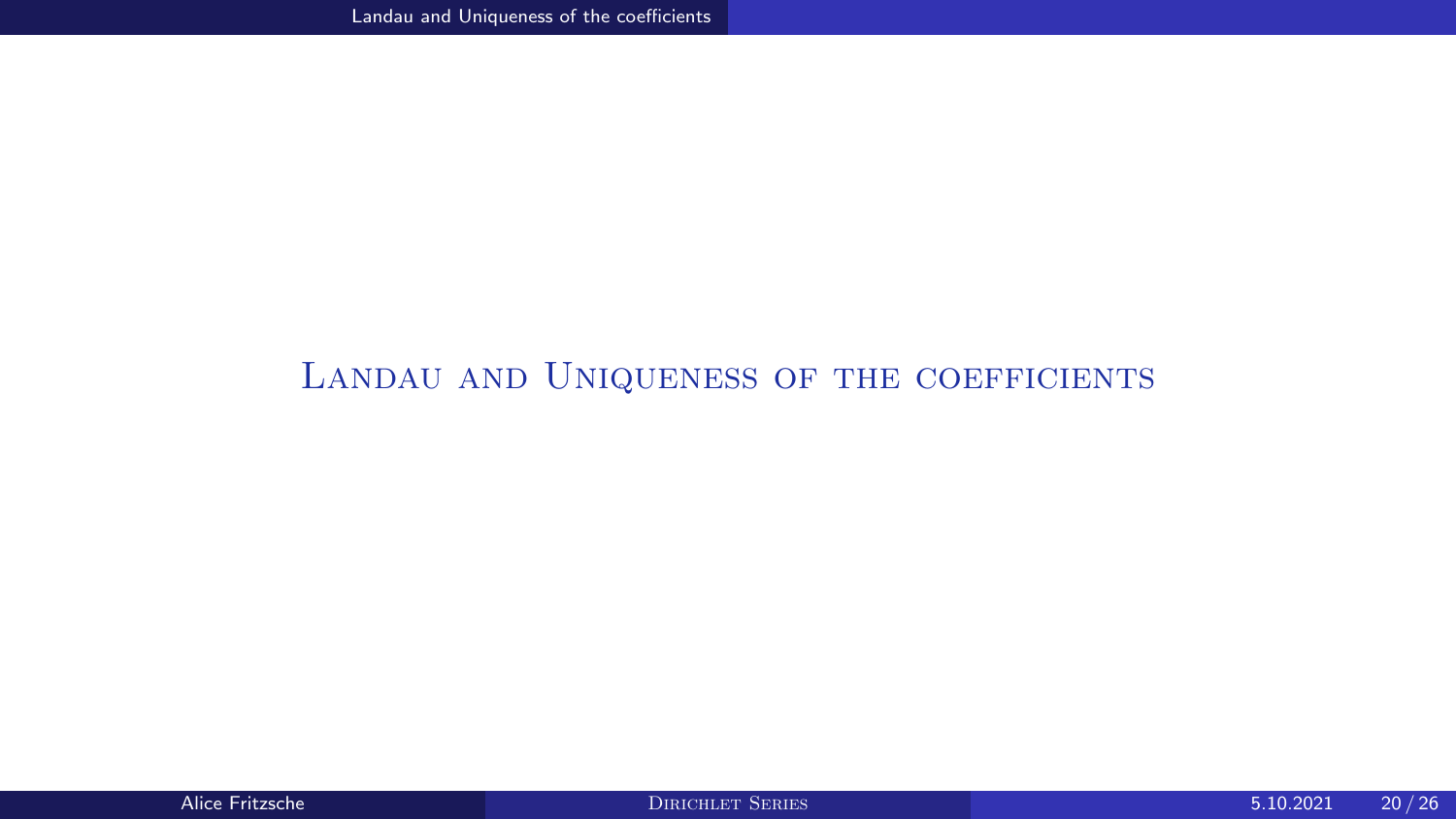### <span id="page-19-0"></span>LANDAU AND UNIQUENESS OF THE COEFFICIENTS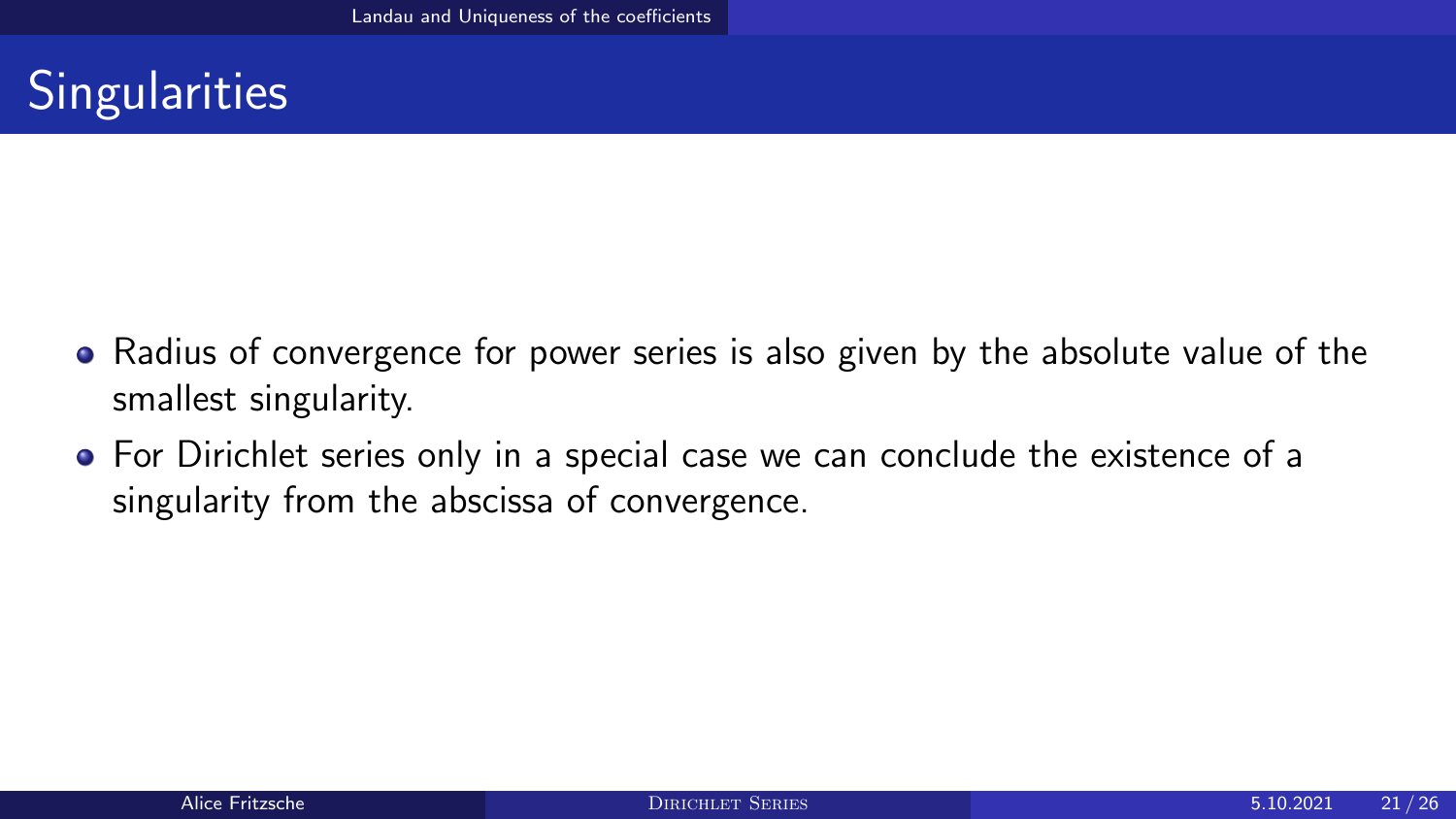# **Singularities**

- Radius of convergence for power series is also given by the absolute value of the smallest singularity.
- For Dirichlet series only in a special case we can conclude the existence of a singularity from the abscissa of convergence.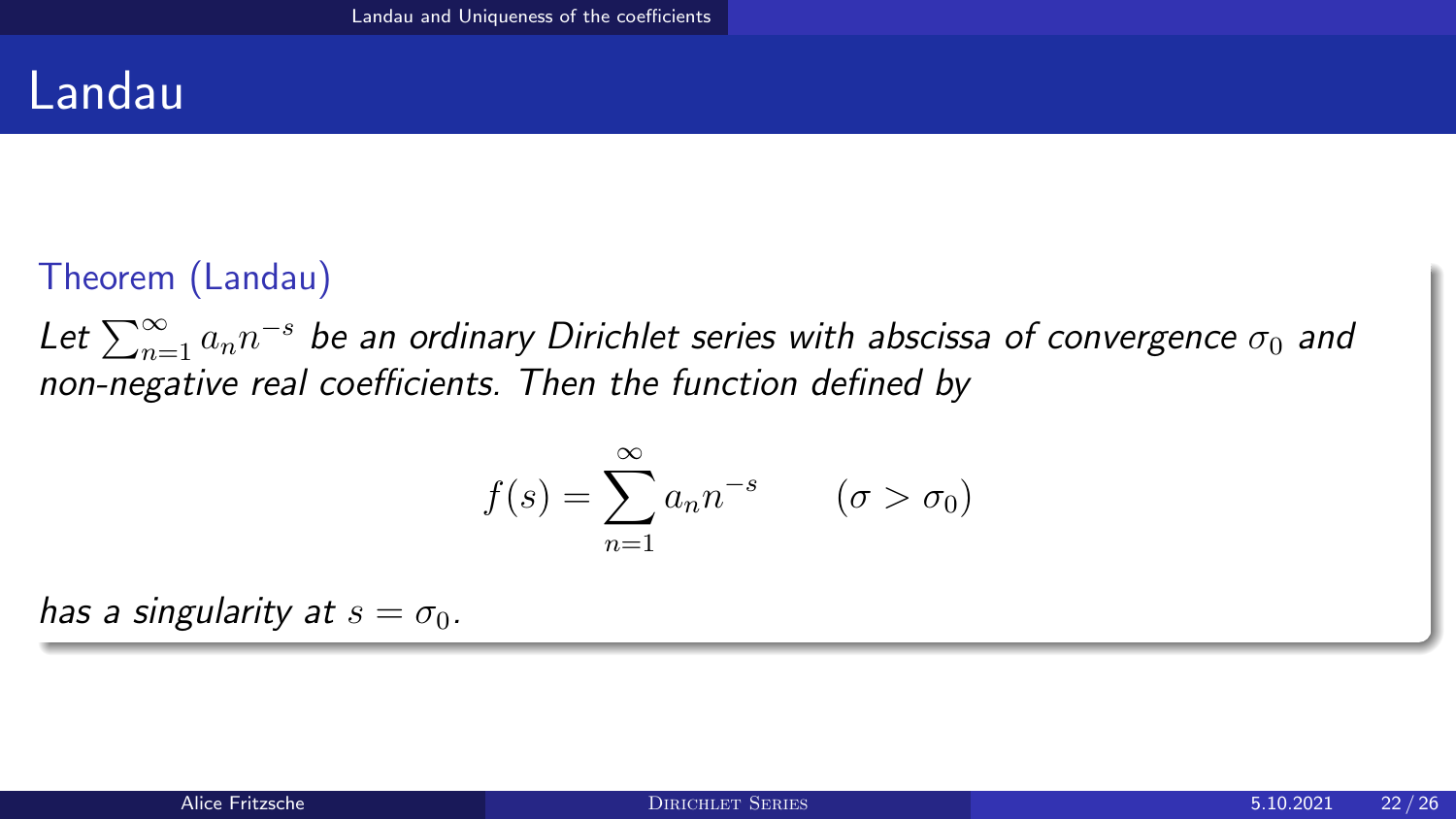### Landau

### Theorem (Landau)

Let  $\sum_{n=1}^{\infty}a_{n}n^{-s}$  be an ordinary Dirichlet series with abscissa of convergence  $\sigma_{0}$  and non-negative real coefficients. Then the function defined by

$$
f(s) = \sum_{n=1}^{\infty} a_n n^{-s} \qquad (\sigma > \sigma_0)
$$

has a singularity at  $s = \sigma_0$ .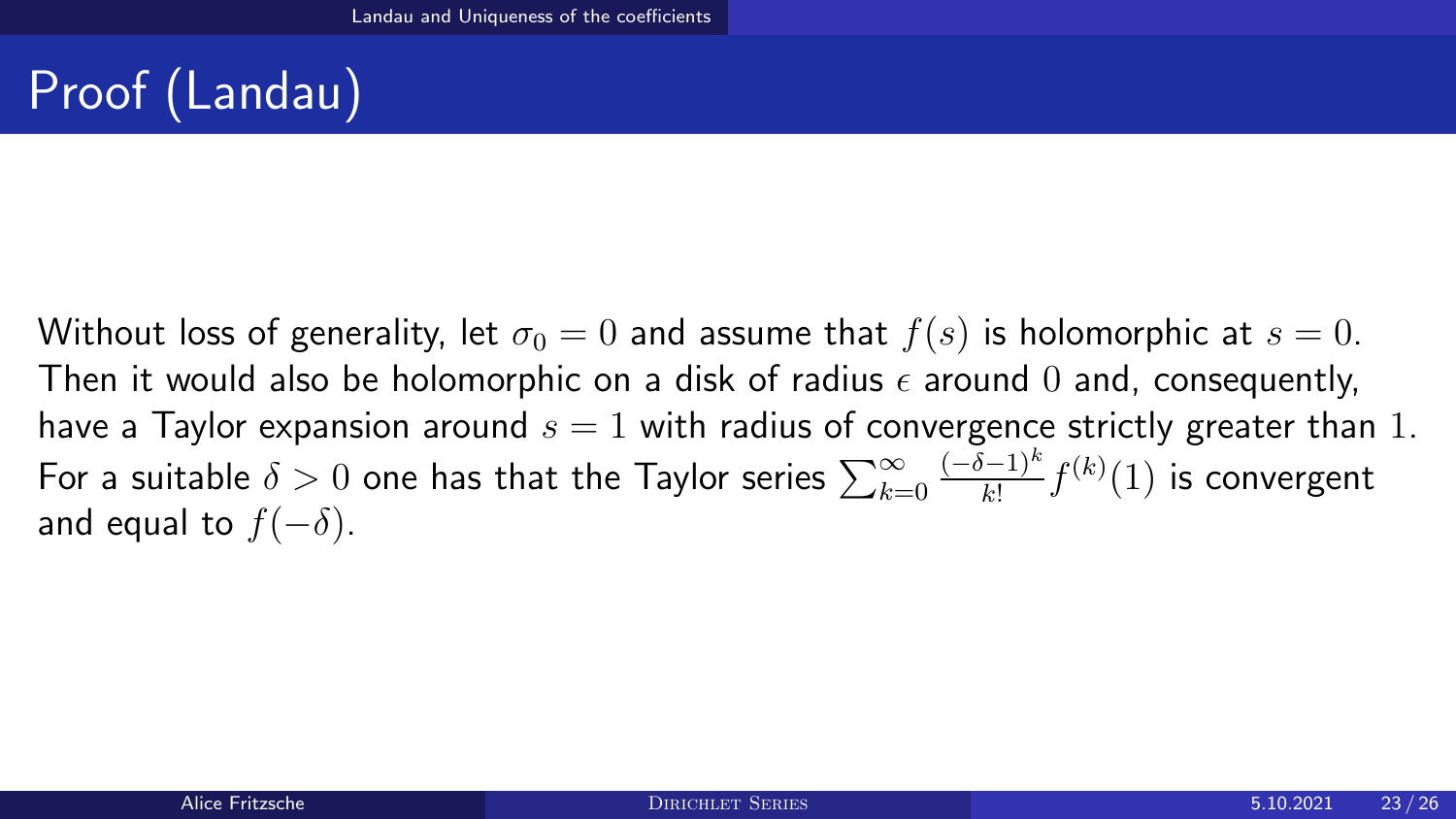# Proof (Landau)

Without loss of generality, let  $\sigma_0 = 0$  and assume that  $f(s)$  is holomorphic at  $s = 0$ . Then it would also be holomorphic on a disk of radius  $\epsilon$  around 0 and, consequently, have a Taylor expansion around  $s = 1$  with radius of convergence strictly greater than 1. For a suitable  $\delta>0$  one has that the Taylor series  $\sum_{k=0}^\infty$  $(-\delta-1)^k$  $\frac{(k-1)^k}{k!} f^{(k)}(1)$  is convergent and equal to  $f(-\delta)$ .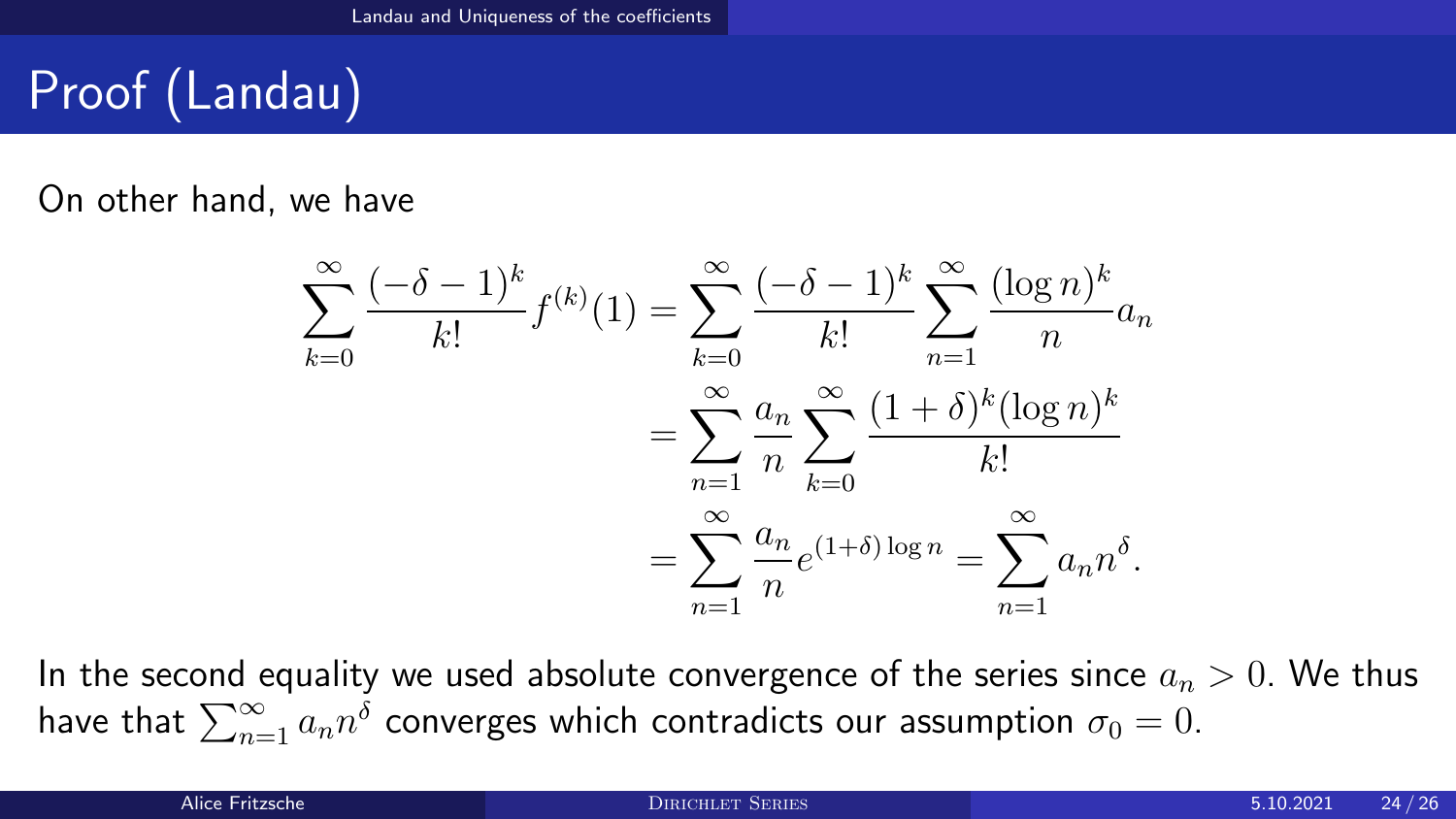# Proof (Landau)

On other hand, we have

$$
\sum_{k=0}^{\infty} \frac{(-\delta - 1)^k}{k!} f^{(k)}(1) = \sum_{k=0}^{\infty} \frac{(-\delta - 1)^k}{k!} \sum_{n=1}^{\infty} \frac{(\log n)^k}{n} a_n
$$

$$
= \sum_{n=1}^{\infty} \frac{a_n}{n} \sum_{k=0}^{\infty} \frac{(1+\delta)^k (\log n)^k}{k!}
$$

$$
= \sum_{n=1}^{\infty} \frac{a_n}{n} e^{(1+\delta) \log n} = \sum_{n=1}^{\infty} a_n n^{\delta}.
$$

In the second equality we used absolute convergence of the series since  $a_n > 0$ . We thus have that  $\sum_{n=1}^\infty a_nn^{\hat{\delta}}$  converges which contradicts our assumption  $\sigma_0=0.$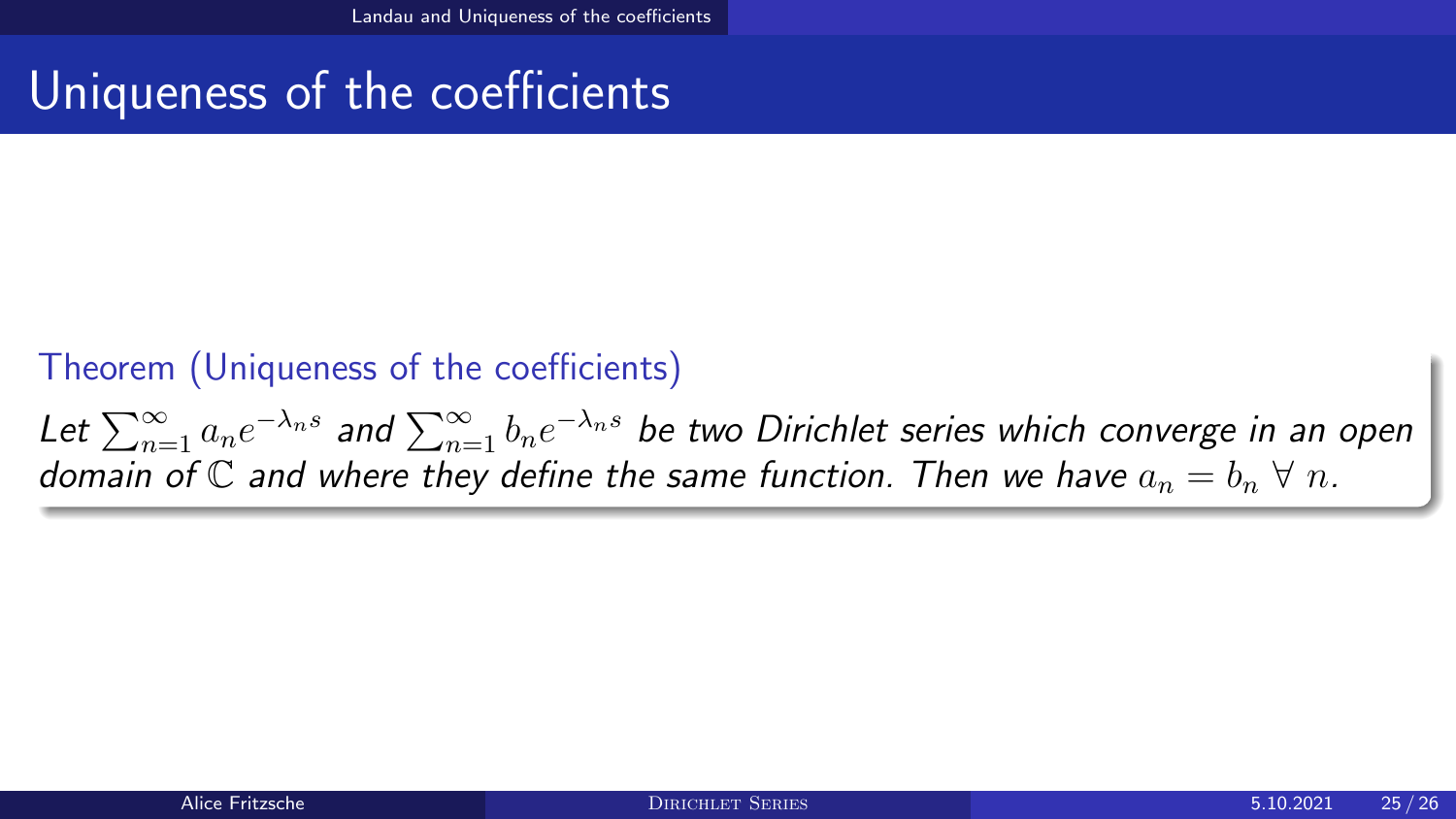## Uniqueness of the coefficients

### Theorem (Uniqueness of the coefficients)

Let  $\sum_{n=1}^\infty a_n e^{-\lambda_n s}$  and  $\sum_{n=1}^\infty b_n e^{-\lambda_n s}$  be two Dirichlet series which converge in an open domain of C and where they define the same function. Then we have  $a_n = b_n \forall n$ .